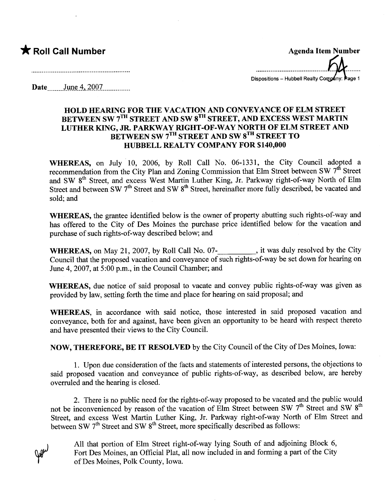**Popul** 

\* Roll Call Number .......\_\_\_\_\_\_\_\_\_\_\_~~..~~\_a\_\_It\_e\_~~~~..~ Dispositions - Hubbell Realty Company: Page 1

Date June 4, 2007

### HOLD HEARING FOR THE VACATION AND CONVEYANCE OF ELM STREET BETWEEN SW 7<sup>TH</sup> STREET AND SW 8<sup>TH</sup> STREET, AND EXCESS WEST MARTIN LUTHER KING, JR. PARKWAY RIGHT-OF-WAY NORTH OF ELM STREET AND BETWEEN SW 7<sup>1h</sup> STREET AND SW 8<sup>1h</sup> STREET TO HUBBELL REALTY COMPANY FOR \$140,000

WHEREAS, on July 10, 2006, by Roll Call No. 06-1331, the City Council adopted a recommendation from the City Plan and Zoning Commission that Elm Street between SW 7<sup>th</sup> Street and SW 8<sup>th</sup> Street, and excess West Martin Luther King, Jr. Parkway right-of-way North of Elm Street and between SW 7<sup>th</sup> Street and SW 8<sup>th</sup> Street, hereinafter more fully described, be vacated and sold; and

WHEREAS, the grantee identified below is the owner of property abutting such rights-of-way and has offered to the City of Des Moines the purchase price identified below for the vacation and purchase of such rights-of-way described below; and

WHEREAS, on May 21, 2007, by Roll Call No. 07- , it was duly resolved by the City Council that the proposed vacation and conveyance of such rights-of-way be set down for hearng on June 4, 2007, at 5:00 p.m., in the Council Chamber; and

WHEREAS, due notice of said proposal to vacate and convey public rights-of-way was given as provided by law, setting forth the time and place for hearing on said proposal; and

WHEREAS, in accordance with said notice, those interested in said proposed vacation and conveyance, both for and against, have been given an opportunity to be heard with respect thereto and have presented their views to the City CounciL.

NOW, THEREFORE, BE IT RESOLVED by the City Council of the City of Des Moines, Iowa:

1. Upon due consideration of the facts and statements of interested persons, the objections to said proposed vacation and conveyance of public rights-of-way, as described below, are hereby overruled and the hearing is closed.

2. There is no public need for the rights-of-way proposed to be vacated and the public would not be inconvenienced by reason of the vacation of Elm Street between SW 7<sup>th</sup> Street and SW 8<sup>th</sup> Street, and excess West Martin Luther King, Jr. Parkway right-of-way North of Elm Street and between SW  $7<sup>th</sup>$  Street and SW  $8<sup>th</sup>$  Street, more specifically described as follows:

All that portion of Elm Street right-of-way lying South of and adjoining Block 6, Fort Des Moines, an Official Plat, all now included in and forming a part of the City of Des Moines, Polk County, Iowa.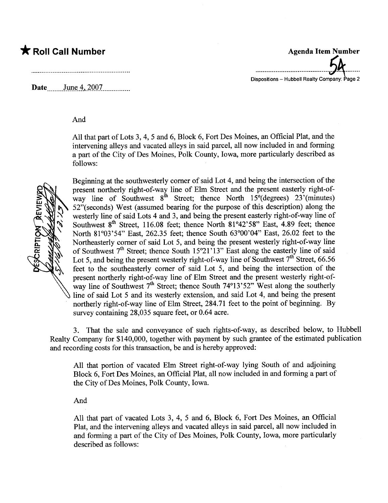# \* Roll Call Number Agenda Item Number

Date  $June\ 4, 2007$ 

#### And

All that part of Lots 3, 4, 5 and 6, Block 6, Fort Des Moines, an Official Plat, and the intervening alleys and vacated alleys in said parcel, all now included in and forming a part of the City of Des Moines, Polk County, Iowa, more particularly described as follows:

Dispositions -- Hubbell Realty Company: Page 2



Beginning at the southwesterly comer of said Lot 4, and being the intersection of the present northerly right-of-way line of Elm Street and the present easterly right-ofway line of Southwest  $8^{th}$  Street; thence North  $15^{\circ}$ (degrees)  $23'$ (minutes) 52"(seconds) West (assumed bearing for the purose of this description) along the westerly line of said Lots 4 and 3, and being the present easterly right-of-way line of Southwest  $8<sup>th</sup>$  Street, 116.08 feet; thence North  $81°42'58"$  East, 4.89 feet; thence North 81°03'54" East, 262.35 feet; thence South 63°00'04" East, 26.02 feet to the Northeasterly comer of said Lot 5, and being the present westerly right-of-way line of Southwest  $7<sup>th</sup>$  Street; thence South 15°21'13" East along the easterly line of said Lot 5, and being the present westerly right-of-way line of Southwest  $7<sup>th</sup>$  Street, 66.56 feet to the southeasterly comer of said Lot 5, and being the intersection of the present northerly right-of-way line of Elm Street and the present westerly right-ofway line of Southwest  $7<sup>th</sup>$  Street; thence South  $74^{\circ}13'52''$  West along the southerly line of said Lot 5 and its westerly extension, and said Lot 4, and being the present northerly right-of-way line of Elm Street, 284.71 feet to the point of beginning. By survey containing 28,035 square feet, or 0.64 acre.

3. That the sale and conveyance of such rights-of-way, as described below, to Hubbell Realty Company for \$140,000, together with payment by such grantee of the estimated publication and recording costs for this transaction, be and is hereby approved:

All that portion of vacated Elm Street right-of-way lying South of and adjoining Block 6, Fort Des Moines, an Official Plat, all now included in and forming a part of the City of Des Moines, Polk County, Iowa.

And

All that part of vacated Lots 3, 4, 5 and 6, Block 6, Fort Des Moines, an Official Plat, and the intervening alleys and vacated alleys in said parcel, all now included in and forming a part of the City of Des Moines, Polk County, Iowa, more particularly described as follows: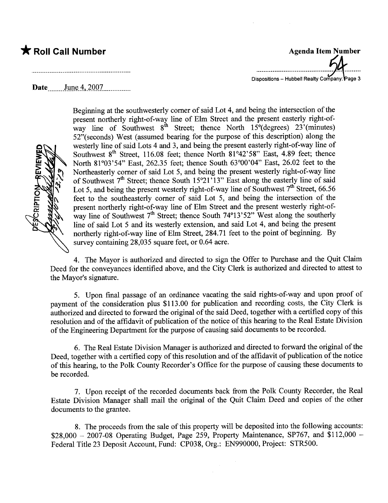## $\bigstar$  Roll Call Number  $\bigstar$  Roll Call Number

Date June 4, 2007



Beginning at the southwesterly comer of said Lot 4, and being the intersection of the present northerly right-of-way line of Elm Street and the present easterly right-ofway line of Southwest  $8^{th}$  Street; thence North  $15^{\circ}$ (degrees) 23<sup>'</sup>(minutes) 52"(seconds) West (assumed bearng for the purpose of this description) along the westerly line of said Lots 4 and 3, and being the present easterly right-of-way line of Southwest  $8<sup>th</sup>$  Street, 116.08 feet; thence North  $81°42'58"$  East, 4.89 feet; thence North 81°03'54" East, 262.35 feet; thence South 63°00'04" East, 26.02 feet to the Northeasterly comer of said Lot 5, and being the present westerly right-of-way line of Southwest  $7<sup>th</sup>$  Street; thence South 15°21'13" East along the easterly line of said Lot 5, and being the present westerly right-of-way line of Southwest  $7<sup>th</sup>$  Street, 66.56 feet to the southeasterly comer of said Lot 5, and being the intersection of the present northerly right-of-way line of Elm Street and the present westerly right-ofway line of Southwest  $7<sup>th</sup>$  Street; thence South  $74<sup>o</sup>13<sup>o</sup>52<sup>o</sup>$  West along the southerly line of said Lot 5 and its westerly extension, and said Lot 4, and being the present northerly right-of-way line of Elm Street, 284.71 feet to the point of beginning. By survey containing  $28,035$  square feet, or 0.64 acre.

Dispositions - Hubbell Realty Company

4. The Mayor is authorized and directed to sign the Offer to Purchase and the Quit Claim Deed for the conveyances identified above, and the City Clerk is authorized and directed to attest to the Mayor's signature.

5. Upon final passage of an ordinance vacating the said rights-of-way and upon proof of payment of the consideration plus \$113.00 for publication and recording costs, the City Clerk is authorized and directed to forward the original of the said Deed, together with a certified copy of this resolution and of the affidavit of publication of the notice of this hearng to the Real Estate Division of the Engineering Deparment for the purose of causing said documents to be recorded.

6. The Real Estate Division Manager is authorized and directed to forward the original of the Deed, together with a certified copy of this resolution and of the affidavit of publication of the notice of this hearing, to the Polk County Recorder's Office for the purose of causing these documents to be recorded.

7. Upon receipt of the recorded documents back from the Polk County Recorder, the Real Estate Division Manager shall mail the original of the Quit Claim Deed and copies of the other documents to the grantee.

8. The proceeds from the sale of this property will be deposited into the following accounts:  $$28,000 - 2007-08$  Operating Budget, Page 259, Property Maintenance, SP767, and \$112,000 -Federal Title 23 Deposit Account, Fund: CP038, Org.: EN990000, Project: STR500.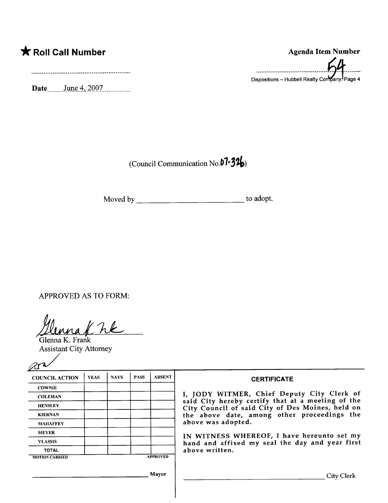# $\bigstar$  Roll Call Number

Date. \_\_ \_\_ \_\_ J\_lln-~.. -,.2 Q Q 1. \_\_. \_\_ \_\_ \_\_\_

| <b>Agenda Item Number</b>                                  |
|------------------------------------------------------------|
| $\mathcal{L}4$                                             |
| Dispositions – Hubbell Realty Company. <sup>[</sup> Page 4 |

(Council Communication  $\text{No.}07 - 32$ 

Moved by to adopt.

APPROVED AS TO FORM:

Hennaf We

Assistant City Attorney

| Glenna K. Frank<br><b>Assistant City Attorney</b> |                |             |                                                 |                                                                                                       |                                                                   |
|---------------------------------------------------|----------------|-------------|-------------------------------------------------|-------------------------------------------------------------------------------------------------------|-------------------------------------------------------------------|
| <b>COUNCIL ACTION</b>                             | <b>YEAS</b>    | <b>NAYS</b> | <b>PASS</b>                                     | <b>ABSENT</b>                                                                                         | <b>CERTIFICATE</b>                                                |
| <b>COWNIE</b>                                     | <b>COLEMAN</b> |             |                                                 |                                                                                                       | I, JODY WITMER, Chief Deputy City Clerk of                        |
|                                                   |                |             |                                                 |                                                                                                       |                                                                   |
| <b>HENSLEY</b>                                    |                |             |                                                 | said City hereby certify that at a meeting of the<br>City Council of said City of Des Moines, held on |                                                                   |
| <b>KIERNAN</b>                                    |                |             |                                                 |                                                                                                       | the above date, among other proceedings the<br>above was adopted. |
| <b>MAHAFFEY</b>                                   |                |             |                                                 |                                                                                                       |                                                                   |
| <b>MEYER</b>                                      |                |             |                                                 | IN WITNESS WHEREOF, I have hereunto set my                                                            |                                                                   |
| <b>VLASSIS</b>                                    |                |             | hand and affixed my seal the day and year first |                                                                                                       |                                                                   |
| <b>TOTAL</b>                                      |                |             |                                                 |                                                                                                       | above written.                                                    |
| <b>MOTION CARRIED</b>                             |                |             |                                                 | <b>APPROVED</b>                                                                                       |                                                                   |
| Mayor                                             |                |             |                                                 |                                                                                                       | City Clerk                                                        |